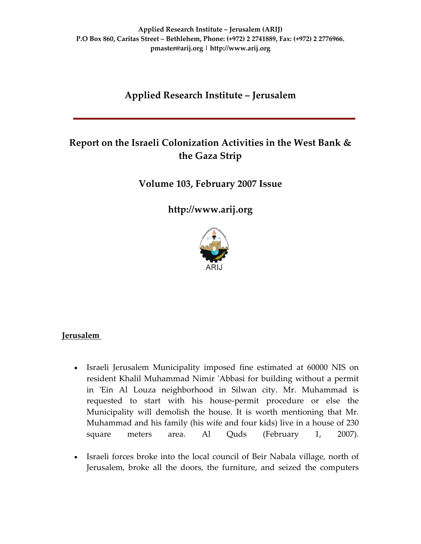# **Applied Research Institute – Jerusalem**

# **Report on the Israeli Colonization Activities in the West Bank & the Gaza Strip**

**Volume 103, February 2007 Issue**

**[http://www.arij.org](http://www.arij.org/)**



### **Jerusalem**

- Israeli Jerusalem Municipality imposed fine estimated at 60000 NIS on resident Khalil Muhammad Nimir 'Abbasi for building without a permit in 'Ein Al Louza neighborhood in Silwan city. Mr. Muhammad is requested to start with his house‐permit procedure or else the Municipality will demolish the house. It is worth mentioning that Mr. Muhammad and his family (his wife and four kids) live in a house of 230 square meters area. Al Quds (February 1, 2007).
- Israeli forces broke into the local council of Beir Nabala village, north of Jerusalem, broke all the doors, the furniture, and seized the computers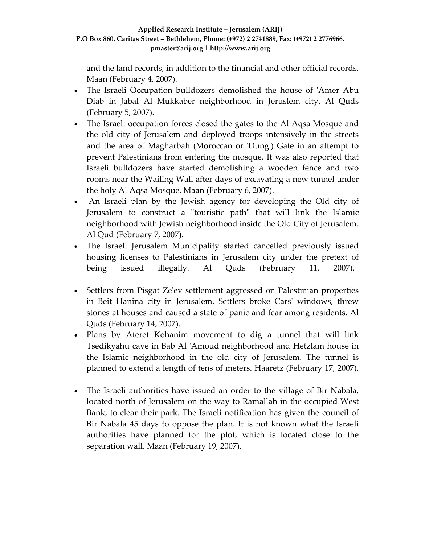and the land records, in addition to the financial and other official records. Maan (February 4, 2007).

- The Israeli Occupation bulldozers demolished the house of 'Amer Abu Diab in Jabal Al Mukkaber neighborhood in Jeruslem city. Al Quds (February 5, 2007).
- The Israeli occupation forces closed the gates to the Al Aqsa Mosque and the old city of Jerusalem and deployed troops intensively in the streets and the area of Magharbah (Moroccan or 'Dung') Gate in an attempt to prevent Palestinians from entering the mosque. It was also reported that Israeli bulldozers have started demolishing a wooden fence and two rooms near the Wailing Wall after days of excavating a new tunnel under the holy Al Aqsa Mosque. Maan (February 6, 2007).
- An Israeli plan by the Jewish agency for developing the Old city of Jerusalem to construct a "touristic path" that will link the Islamic neighborhood with Jewish neighborhood inside the Old City of Jerusalem. Al Qud (February 7, 2007).
- The Israeli Jerusalem Municipality started cancelled previously issued housing licenses to Palestinians in Jerusalem city under the pretext of being issued illegally. Al Quds (February 11, 2007).
- Settlers from Pisgat Ze'ev settlement aggressed on Palestinian properties in Beit Hanina city in Jerusalem. Settlers broke Carsʹ windows, threw stones at houses and caused a state of panic and fear among residents. Al Quds (February 14, 2007).
- Plans by Ateret Kohanim movement to dig a tunnel that will link Tsedikyahu cave in Bab Al ʹAmoud neighborhood and Hetzlam house in the Islamic neighborhood in the old city of Jerusalem. The tunnel is planned to extend a length of tens of meters. Haaretz (February 17, 2007).
- The Israeli authorities have issued an order to the village of Bir Nabala, located north of Jerusalem on the way to Ramallah in the occupied West Bank, to clear their park. The Israeli notification has given the council of Bir Nabala 45 days to oppose the plan. It is not known what the Israeli authorities have planned for the plot, which is located close to the separation wall. Maan (February 19, 2007).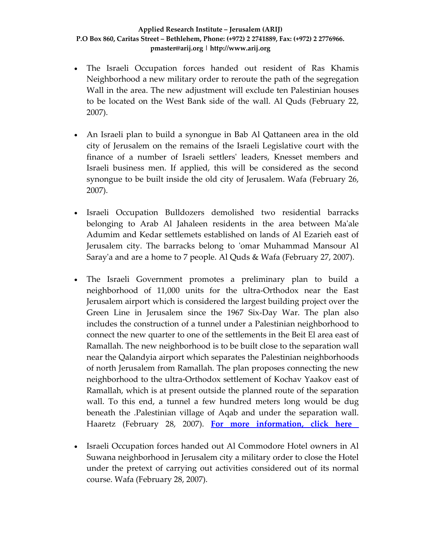- The Israeli Occupation forces handed out resident of Ras Khamis Neighborhood a new military order to reroute the path of the segregation Wall in the area. The new adjustment will exclude ten Palestinian houses to be located on the West Bank side of the wall. Al Quds (February 22, 2007).
- An Israeli plan to build a synongue in Bab Al Qattaneen area in the old city of Jerusalem on the remains of the Israeli Legislative court with the finance of a number of Israeli settlersʹ leaders, Knesset members and Israeli business men. If applied, this will be considered as the second synongue to be built inside the old city of Jerusalem. Wafa (February 26, 2007).
- Israeli Occupation Bulldozers demolished two residential barracks belonging to Arab Al Jahaleen residents in the area between Maʹale Adumim and Kedar settlemets established on lands of Al Ezarieh east of Jerusalem city. The barracks belong to 'omar Muhammad Mansour Al Saray'a and are a home to 7 people. Al Quds & Wafa (February 27, 2007).
- The Israeli Government promotes a preliminary plan to build a neighborhood of 11,000 units for the ultra‐Orthodox near the East Jerusalem airport which is considered the largest building project over the Green Line in Jerusalem since the 1967 Six‐Day War. The plan also includes the construction of a tunnel under a Palestinian neighborhood to connect the new quarter to one of the settlements in the Beit El area east of Ramallah. The new neighborhood is to be built close to the separation wall near the Qalandyia airport which separates the Palestinian neighborhoods of north Jerusalem from Ramallah. The plan proposes connecting the new neighborhood to the ultra‐Orthodox settlement of Kochav Yaakov east of Ramallah, which is at present outside the planned route of the separation wall. To this end, a tunnel a few hundred meters long would be dug beneath the .Palestinian village of Aqab and under the separation wall. Haaretz (February 28, 2007). **For more [information,](http://www.poica.org/editor/case_studies/view.php?recordID=1025) click here**
- Israeli Occupation forces handed out Al Commodore Hotel owners in Al Suwana neighborhood in Jerusalem city a military order to close the Hotel under the pretext of carrying out activities considered out of its normal course. Wafa (February 28, 2007).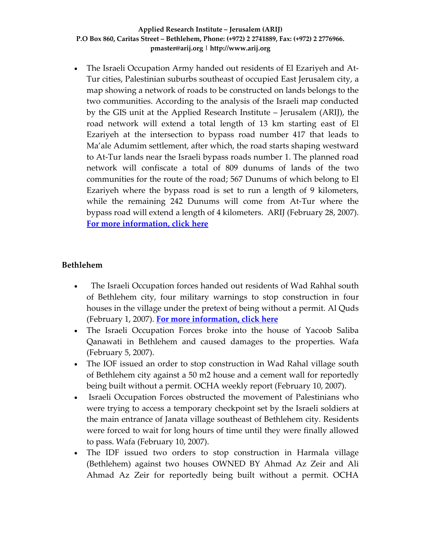• The Israeli Occupation Army handed out residents of El Ezariyeh and At-Tur cities, Palestinian suburbs southeast of occupied East Jerusalem city, a map showing a network of roads to be constructed on lands belongs to the two communities. According to the analysis of the Israeli map conducted by the GIS unit at the Applied Research Institute – Jerusalem (ARIJ), the road network will extend a total length of 13 km starting east of El Ezariyeh at the intersection to bypass road number 417 that leads to Ma'ale Adumim settlement, after which, the road starts shaping westward to At‐Tur lands near the Israeli bypass roads number 1. The planned road network will confiscate a total of 809 dunums of lands of the two communities for the route of the road; 567 Dunums of which belong to El Ezariyeh where the bypass road is set to run a length of 9 kilometers, while the remaining 242 Dunums will come from At‐Tur where the bypass road will extend a length of 4 kilometers. ARIJ (February 28, 2007). **For more [information,](http://www.poica.org/editor/case_studies/view.php?recordID=1016) click here**

### **Bethlehem**

- The Israeli Occupation forces handed out residents of Wad Rahhal south of Bethlehem city, four military warnings to stop construction in four houses in the village under the pretext of being without a permit. Al Quds (February 1, 2007). **For more [information,](http://www.poica.org/editor/case_studies/view.php?recordID=1017) click here**
- The Israeli Occupation Forces broke into the house of Yacoob Saliba Qanawati in Bethlehem and caused damages to the properties. Wafa (February 5, 2007).
- The IOF issued an order to stop construction in Wad Rahal village south of Bethlehem city against a 50 m2 house and a cement wall for reportedly being built without a permit. OCHA weekly report (February 10, 2007).
- Israeli Occupation Forces obstructed the movement of Palestinians who were trying to access a temporary checkpoint set by the Israeli soldiers at the main entrance of Janata village southeast of Bethlehem city. Residents were forced to wait for long hours of time until they were finally allowed to pass. Wafa (February 10, 2007).
- The IDF issued two orders to stop construction in Harmala village (Bethlehem) against two houses OWNED BY Ahmad Az Zeir and Ali Ahmad Az Zeir for reportedly being built without a permit. OCHA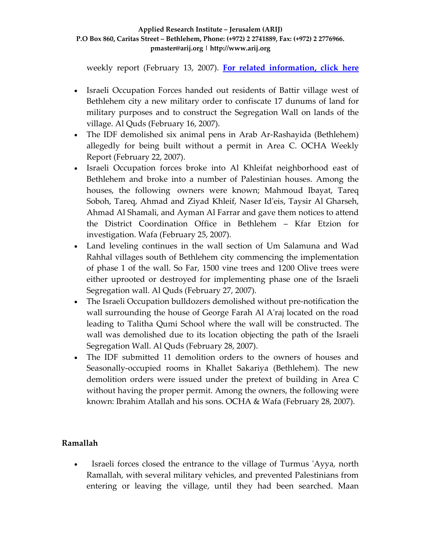weekly report (February 13, 2007). **For related [information,](http://www.poica.org/editor/case_studies/view.php?recordID=1023) click here**

- Israeli Occupation Forces handed out residents of Battir village west of Bethlehem city a new military order to confiscate 17 dunums of land for military purposes and to construct the Segregation Wall on lands of the village. Al Quds (February 16, 2007).
- The IDF demolished six animal pens in Arab Ar-Rashayida (Bethlehem) allegedly for being built without a permit in Area C. OCHA Weekly Report (February 22, 2007).
- Israeli Occupation forces broke into Al Khleifat neighborhood east of Bethlehem and broke into a number of Palestinian houses. Among the houses, the following owners were known; Mahmoud Ibayat, Tareq Soboh, Tareq, Ahmad and Ziyad Khleif, Naser Idʹeis, Taysir Al Gharseh, Ahmad Al Shamali, and Ayman Al Farrar and gave them notices to attend the District Coordination Office in Bethlehem – Kfar Etzion for investigation. Wafa (February 25, 2007).
- Land leveling continues in the wall section of Um Salamuna and Wad Rahhal villages south of Bethlehem city commencing the implementation of phase 1 of the wall. So Far, 1500 vine trees and 1200 Olive trees were either uprooted or destroyed for implementing phase one of the Israeli Segregation wall. Al Quds (February 27, 2007).
- The Israeli Occupation bulldozers demolished without pre-notification the wall surrounding the house of George Farah Al A'raj located on the road leading to Talitha Qumi School where the wall will be constructed. The wall was demolished due to its location objecting the path of the Israeli Segregation Wall. Al Quds (February 28, 2007).
- The IDF submitted 11 demolition orders to the owners of houses and Seasonally‐occupied rooms in Khallet Sakariya (Bethlehem). The new demolition orders were issued under the pretext of building in Area C without having the proper permit. Among the owners, the following were known: Ibrahim Atallah and his sons. OCHA & Wafa (February 28, 2007).

# **Ramallah**

• Israeli forces closed the entrance to the village of Turmus 'Ayya, north Ramallah, with several military vehicles, and prevented Palestinians from entering or leaving the village, until they had been searched. Maan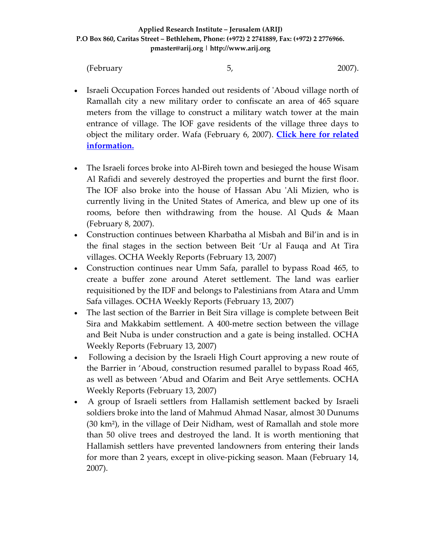(February 5, 2007).

- Israeli Occupation Forces handed out residents of ʹAboud village north of Ramallah city a new military order to confiscate an area of 465 square meters from the village to construct a military watch tower at the main entrance of village. The IOF gave residents of the village three days to object the military order. Wafa (February 6, 2007). **Click here for [related](http://www.poica.org/editor/case_studies/view.php?recordID=604) [information.](http://www.poica.org/editor/case_studies/view.php?recordID=604)**
- The Israeli forces broke into Al-Bireh town and besieged the house Wisam Al Rafidi and severely destroyed the properties and burnt the first floor. The IOF also broke into the house of Hassan Abu ʹAli Mizien, who is currently living in the United States of America, and blew up one of its rooms, before then withdrawing from the house. Al Quds & Maan (February 8, 2007).
- Construction continues between Kharbatha al Misbah and Bil'in and is in the final stages in the section between Beit 'Ur al Fauqa and At Tira villages. OCHA Weekly Reports (February 13, 2007)
- Construction continues near Umm Safa, parallel to bypass Road 465, to create a buffer zone around Ateret settlement. The land was earlier requisitioned by the IDF and belongs to Palestinians from Atara and Umm Safa villages. OCHA Weekly Reports (February 13, 2007)
- The last section of the Barrier in Beit Sira village is complete between Beit Sira and Makkabim settlement. A 400‐metre section between the village and Beit Nuba is under construction and a gate is being installed. OCHA Weekly Reports (February 13, 2007)
- Following a decision by the Israeli High Court approving a new route of the Barrier in 'Aboud, construction resumed parallel to bypass Road 465, as well as between 'Abud and Ofarim and Beit Arye settlements. OCHA Weekly Reports (February 13, 2007)
- A group of Israeli settlers from Hallamish settlement backed by Israeli soldiers broke into the land of Mahmud Ahmad Nasar, almost 30 Dunums  $(30 \text{ km}^2)$ , in the village of Deir Nidham, west of Ramallah and stole more than 50 olive trees and destroyed the land. It is worth mentioning that Hallamish settlers have prevented landowners from entering their lands for more than 2 years, except in olive‐picking season. Maan (February 14, 2007).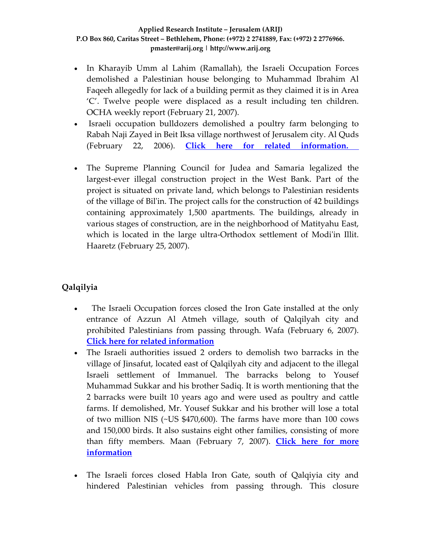- In Kharayib Umm al Lahim (Ramallah), the Israeli Occupation Forces demolished a Palestinian house belonging to Muhammad Ibrahim Al Faqeeh allegedly for lack of a building permit as they claimed it is in Area 'C'. Twelve people were displaced as a result including ten children. OCHA weekly report (February 21, 2007).
- Israeli occupation bulldozers demolished a poultry farm belonging to Rabah Naji Zayed in Beit Iksa village northwest of Jerusalem city. Al Quds (February 22, 2006). **Click here for related [information.](http://www.poica.org/editor/case_studies/view.php?recordID=980)**
- The Supreme Planning Council for Judea and Samaria legalized the largest‐ever illegal construction project in the West Bank. Part of the project is situated on private land, which belongs to Palestinian residents of the village of Bilʹin. The project calls for the construction of 42 buildings containing approximately 1,500 apartments. The buildings, already in various stages of construction, are in the neighborhood of Matityahu East, which is located in the large ultra-Orthodox settlement of Modi'in Illit. Haaretz (February 25, 2007).

# **Qalqilyia**

- The Israeli Occupation forces closed the Iron Gate installed at the only entrance of Azzun Al Atmeh village, south of Qalqilyah city and prohibited Palestinians from passing through. Wafa (February 6, 2007). **Click here for related [information](http://www.poica.org/editor/case_studies/view.php?recordID=915)**
- The Israeli authorities issued 2 orders to demolish two barracks in the village of Jinsafut, located east of Qalqilyah city and adjacent to the illegal Israeli settlement of Immanuel. The barracks belong to Yousef Muhammad Sukkar and his brother Sadiq. It is worth mentioning that the 2 barracks were built 10 years ago and were used as poultry and cattle farms. If demolished, Mr. Yousef Sukkar and his brother will lose a total of two million NIS (~US \$470,600). The farms have more than 100 cows and 150,000 birds. It also sustains eight other families, consisting of more than fifty members. Maan (February 7, 2007). **[Click](http://www.poica.org/editor/case_studies/view.php?recordID=971) here for more [information](http://www.poica.org/editor/case_studies/view.php?recordID=971)**
- The Israeli forces closed Habla Iron Gate, south of Qalqiyia city and hindered Palestinian vehicles from passing through. This closure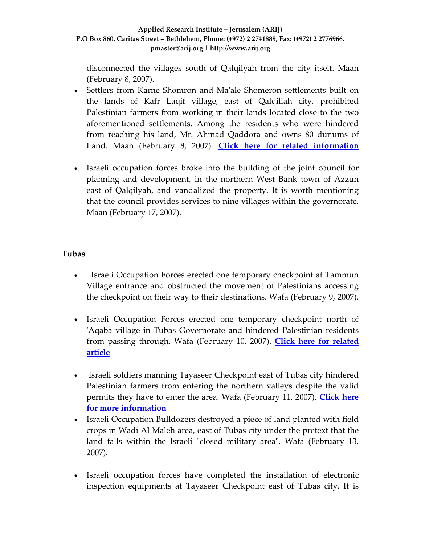disconnected the villages south of Qalqilyah from the city itself. Maan (February 8, 2007).

- Settlers from Karne Shomron and Maʹale Shomeron settlements built on the lands of Kafr Laqif village, east of Qalqiliah city, prohibited Palestinian farmers from working in their lands located close to the two aforementioned settlements. Among the residents who were hindered from reaching his land, Mr. Ahmad Qaddora and owns 80 dunums of Land. Maan (February 8, 2007). **Click here for related [information](http://www.poica.org/editor/case_studies/view.php?recordID=998)**
- Israeli occupation forces broke into the building of the joint council for planning and development, in the northern West Bank town of Azzun east of Qalqilyah, and vandalized the property. It is worth mentioning that the council provides services to nine villages within the governorate. Maan (February 17, 2007).

### **Tubas**

- Israeli Occupation Forces erected one temporary checkpoint at Tammun Village entrance and obstructed the movement of Palestinians accessing the checkpoint on their way to their destinations. Wafa (February 9, 2007).
- Israeli Occupation Forces erected one temporary checkpoint north of ʹAqaba village in Tubas Governorate and hindered Palestinian residents from passing through. Wafa (February 10, 2007). **Click here for [related](http://www.poica.org/editor/case_studies/view.php?recordID=825) [article](http://www.poica.org/editor/case_studies/view.php?recordID=825)**
- Israeli soldiers manning Tayaseer Checkpoint east of Tubas city hindered Palestinian farmers from entering the northern valleys despite the valid permits they have to enter the area. Wafa (February 11, 2007). **[Click](http://www.poica.org/editor/case_studies/view.php?recordID=1001) here for more [information](http://www.poica.org/editor/case_studies/view.php?recordID=1001)**
- Israeli Occupation Bulldozers destroyed a piece of land planted with field crops in Wadi Al Maleh area, east of Tubas city under the pretext that the land falls within the Israeli "closed military area". Wafa (February 13, 2007).
- Israeli occupation forces have completed the installation of electronic inspection equipments at Tayaseer Checkpoint east of Tubas city. It is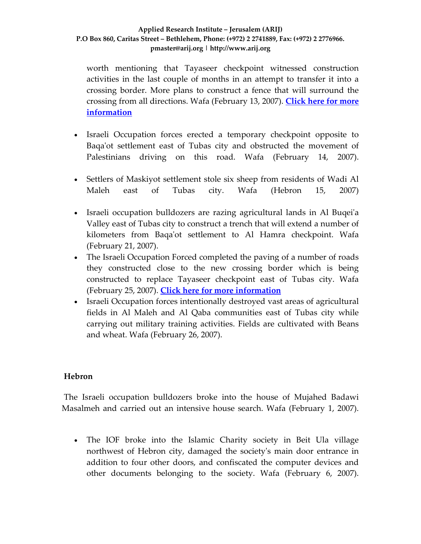worth mentioning that Tayaseer checkpoint witnessed construction activities in the last couple of months in an attempt to transfer it into a crossing border. More plans to construct a fence that will surround the crossing from all directions. Wafa (February 13, 2007). **[Click](http://www.poica.org/editor/case_studies/view.php?recordID=1001) here for more [information](http://www.poica.org/editor/case_studies/view.php?recordID=1001)**

- Israeli Occupation forces erected a temporary checkpoint opposite to Baqa'ot settlement east of Tubas city and obstructed the movement of Palestinians driving on this road. Wafa (February 14, 2007).
- Settlers of Maskiyot settlement stole six sheep from residents of Wadi Al Maleh east of Tubas city. Wafa (Hebron 15, 2007)
- Israeli occupation bulldozers are razing agricultural lands in Al Buqei'a Valley east of Tubas city to construct a trench that will extend a number of kilometers from Baqaʹot settlement to Al Hamra checkpoint. Wafa (February 21, 2007).
- The Israeli Occupation Forced completed the paving of a number of roads they constructed close to the new crossing border which is being constructed to replace Tayaseer checkpoint east of Tubas city. Wafa (February 25, 2007). **Click here for more [information](http://www.poica.org/editor/case_studies/view.php?recordID=1001)**
- Israeli Occupation forces intentionally destroyed vast areas of agricultural fields in Al Maleh and Al Qaba communities east of Tubas city while carrying out military training activities. Fields are cultivated with Beans and wheat. Wafa (February 26, 2007).

# **Hebron**

The Israeli occupation bulldozers broke into the house of Mujahed Badawi Masalmeh and carried out an intensive house search. Wafa (February 1, 2007).

• The IOF broke into the Islamic Charity society in Beit Ula village northwest of Hebron city, damaged the societyʹs main door entrance in addition to four other doors, and confiscated the computer devices and other documents belonging to the society. Wafa (February 6, 2007).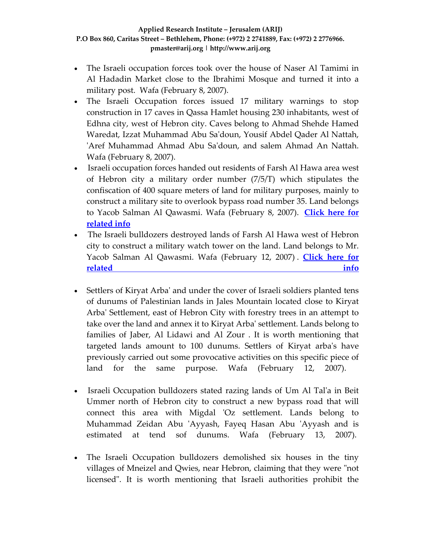- The Israeli occupation forces took over the house of Naser Al Tamimi in Al Hadadin Market close to the Ibrahimi Mosque and turned it into a military post. Wafa (February 8, 2007).
- The Israeli Occupation forces issued 17 military warnings to stop construction in 17 caves in Qassa Hamlet housing 230 inhabitants, west of Edhna city, west of Hebron city. Caves belong to Ahmad Shehde Hamed Waredat, Izzat Muhammad Abu Saʹdoun, Yousif Abdel Qader Al Nattah, ʹAref Muhammad Ahmad Abu Saʹdoun, and salem Ahmad An Nattah. Wafa (February 8, 2007).
- Israeli occupation forces handed out residents of Farsh Al Hawa area west of Hebron city a military order number (7/5/T) which stipulates the confiscation of 400 square meters of land for military purposes, mainly to construct a military site to overlook bypass road number 35. Land belongs to Yacob Salman Al Qawasmi. Wafa (February 8, 2007). **[Click](http://www.poica.org/editor/case_studies/view.php?recordID=1005) here for [related](http://www.poica.org/editor/case_studies/view.php?recordID=1005) info**
- The Israeli bulldozers destroyed lands of Farsh Al Hawa west of Hebron city to construct a military watch tower on the land. Land belongs to Mr. Yacob Salman Al Qawasmi. Wafa (February 12, 2007) . **[Click](http://www.poica.org/editor/case_studies/view.php?recordID=1005) here for [related](http://www.poica.org/editor/case_studies/view.php?recordID=1005) info**
- Settlers of Kiryat Arba' and under the cover of Israeli soldiers planted tens of dunums of Palestinian lands in Jales Mountain located close to Kiryat Arbaʹ Settlement, east of Hebron City with forestry trees in an attempt to take over the land and annex it to Kiryat Arbaʹ settlement. Lands belong to families of Jaber, Al Lidawi and Al Zour . It is worth mentioning that targeted lands amount to 100 dunums. Settlers of Kiryat arbaʹs have previously carried out some provocative activities on this specific piece of land for the same purpose. Wafa (February 12, 2007).
- Israeli Occupation bulldozers stated razing lands of Um Al Tal'a in Beit Ummer north of Hebron city to construct a new bypass road that will connect this area with Migdal 'Oz settlement. Lands belong to Muhammad Zeidan Abu 'Ayyash, Fayeq Hasan Abu 'Ayyash and is estimated at tend sof dunums. Wafa (February 13, 2007).
- The Israeli Occupation bulldozers demolished six houses in the tiny villages of Mneizel and Qwies, near Hebron, claiming that they were "not" licensedʺ. It is worth mentioning that Israeli authorities prohibit the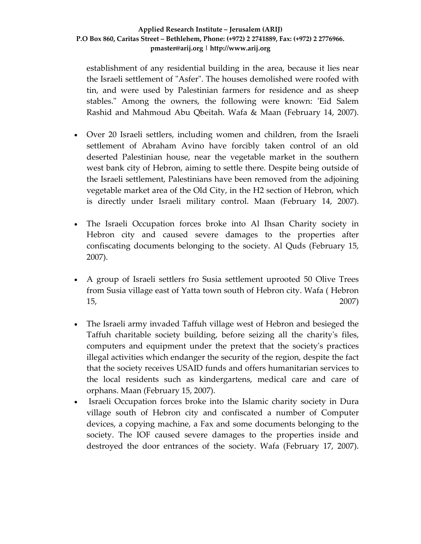establishment of any residential building in the area, because it lies near the Israeli settlement of "Asfer". The houses demolished were roofed with tin, and were used by Palestinian farmers for residence and as sheep stables." Among the owners, the following were known: 'Eid Salem Rashid and Mahmoud Abu Qbeitah. Wafa & Maan (February 14, 2007).

- Over 20 Israeli settlers, including women and children, from the Israeli settlement of Abraham Avino have forcibly taken control of an old deserted Palestinian house, near the vegetable market in the southern west bank city of Hebron, aiming to settle there. Despite being outside of the Israeli settlement, Palestinians have been removed from the adjoining vegetable market area of the Old City, in the H2 section of Hebron, which is directly under Israeli military control. Maan (February 14, 2007).
- The Israeli Occupation forces broke into Al Ihsan Charity society in Hebron city and caused severe damages to the properties after confiscating documents belonging to the society. Al Quds (February 15, 2007).
- A group of Israeli settlers fro Susia settlement uprooted 50 Olive Trees from Susia village east of Yatta town south of Hebron city. Wafa ( Hebron 15, 2007)
- The Israeli army invaded Taffuh village west of Hebron and besieged the Taffuh charitable society building, before seizing all the charityʹs files, computers and equipment under the pretext that the societyʹs practices illegal activities which endanger the security of the region, despite the fact that the society receives USAID funds and offers humanitarian services to the local residents such as kindergartens, medical care and care of orphans. Maan (February 15, 2007).
- Israeli Occupation forces broke into the Islamic charity society in Dura village south of Hebron city and confiscated a number of Computer devices, a copying machine, a Fax and some documents belonging to the society. The IOF caused severe damages to the properties inside and destroyed the door entrances of the society. Wafa (February 17, 2007).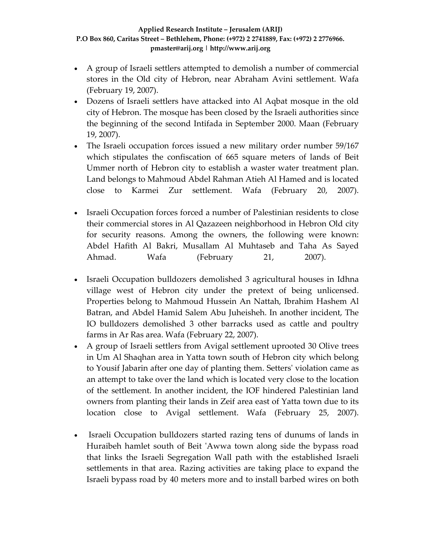- A group of Israeli settlers attempted to demolish a number of commercial stores in the Old city of Hebron, near Abraham Avini settlement. Wafa (February 19, 2007).
- Dozens of Israeli settlers have attacked into Al Aqbat mosque in the old city of Hebron. The mosque has been closed by the Israeli authorities since the beginning of the second Intifada in September 2000. Maan (February 19, 2007).
- The Israeli occupation forces issued a new military order number 59/167 which stipulates the confiscation of 665 square meters of lands of Beit Ummer north of Hebron city to establish a waster water treatment plan. Land belongs to Mahmoud Abdel Rahman Atieh Al Hamed and is located close to Karmei Zur settlement. Wafa (February 20, 2007).
- Israeli Occupation forces forced a number of Palestinian residents to close their commercial stores in Al Qazazeen neighborhood in Hebron Old city for security reasons. Among the owners, the following were known: Abdel Hafith Al Bakri, Musallam Al Muhtaseb and Taha As Sayed Ahmad. Wafa (February 21, 2007).
- Israeli Occupation bulldozers demolished 3 agricultural houses in Idhna village west of Hebron city under the pretext of being unlicensed. Properties belong to Mahmoud Hussein An Nattah, Ibrahim Hashem Al Batran, and Abdel Hamid Salem Abu Juheisheh. In another incident, The IO bulldozers demolished 3 other barracks used as cattle and poultry farms in Ar Ras area. Wafa (February 22, 2007).
- A group of Israeli settlers from Avigal settlement uprooted 30 Olive trees in Um Al Shaqhan area in Yatta town south of Hebron city which belong to Yousif Jabarin after one day of planting them. Settersʹ violation came as an attempt to take over the land which is located very close to the location of the settlement. In another incident, the IOF hindered Palestinian land owners from planting their lands in Zeif area east of Yatta town due to its location close to Avigal settlement. Wafa (February 25, 2007).
- Israeli Occupation bulldozers started razing tens of dunums of lands in Huraibeh hamlet south of Beit 'Awwa town along side the bypass road that links the Israeli Segregation Wall path with the established Israeli settlements in that area. Razing activities are taking place to expand the Israeli bypass road by 40 meters more and to install barbed wires on both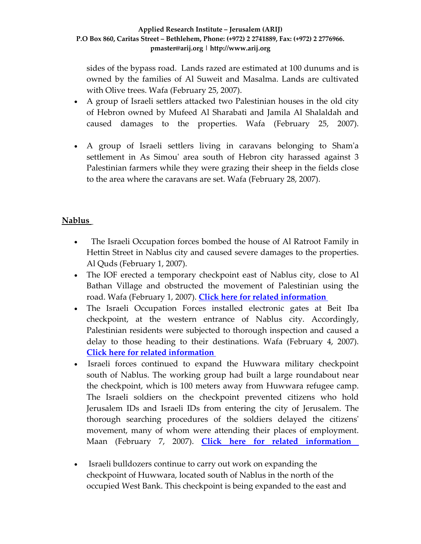sides of the bypass road. Lands razed are estimated at 100 dunums and is owned by the families of Al Suweit and Masalma. Lands are cultivated with Olive trees. Wafa (February 25, 2007).

- A group of Israeli settlers attacked two Palestinian houses in the old city of Hebron owned by Mufeed Al Sharabati and Jamila Al Shalaldah and caused damages to the properties. Wafa (February 25, 2007).
- A group of Israeli settlers living in caravans belonging to Shamʹa settlement in As Simou' area south of Hebron city harassed against 3 Palestinian farmers while they were grazing their sheep in the fields close to the area where the caravans are set. Wafa (February 28, 2007).

# **Nablus**

- The Israeli Occupation forces bombed the house of Al Ratroot Family in Hettin Street in Nablus city and caused severe damages to the properties. Al Quds (February 1, 2007).
- The IOF erected a temporary checkpoint east of Nablus city, close to Al Bathan Village and obstructed the movement of Palestinian using the road. Wafa (February 1, 2007). **Click here for related [information](http://www.poica.org/editor/case_studies/view.php?recordID=946)**
- The Israeli Occupation Forces installed electronic gates at Beit Iba checkpoint, at the western entrance of Nablus city. Accordingly, Palestinian residents were subjected to thorough inspection and caused a delay to those heading to their destinations. Wafa (February 4, 2007). **Click here for related [information](http://www.poica.org/editor/case_studies/view.php?recordID=946)**
- Israeli forces continued to expand the Huwwara military checkpoint south of Nablus. The working group had built a large roundabout near the checkpoint, which is 100 meters away from Huwwara refugee camp. The Israeli soldiers on the checkpoint prevented citizens who hold Jerusalem IDs and Israeli IDs from entering the city of Jerusalem. The thorough searching procedures of the soldiers delayed the citizensʹ movement, many of whom were attending their places of employment. Maan (February 7, 2007). **Click here for related [information](http://www.poica.org/editor/case_studies/view.php?recordID=946)**
- Israeli bulldozers continue to carry out work on expanding the checkpoint of Huwwara, located south of Nablus in the north of the occupied West Bank. This checkpoint is being expanded to the east and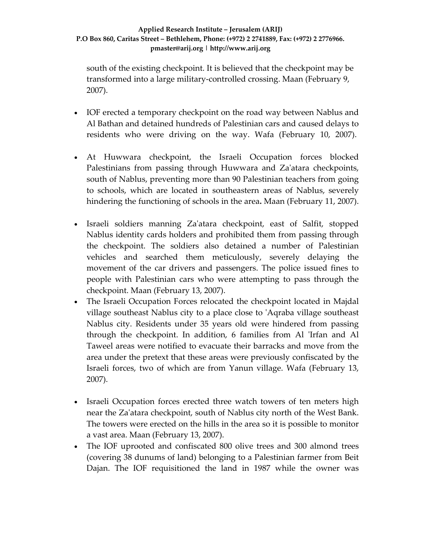south of the existing checkpoint. It is believed that the checkpoint may be transformed into a large military‐controlled crossing. Maan (February 9, 2007).

- IOF erected a temporary checkpoint on the road way between Nablus and Al Bathan and detained hundreds of Palestinian cars and caused delays to residents who were driving on the way. Wafa (February 10, 2007).
- At Huwwara checkpoint, the Israeli Occupation forces blocked Palestinians from passing through Huwwara and Za'atara checkpoints, south of Nablus, preventing more than 90 Palestinian teachers from going to schools, which are located in southeastern areas of Nablus, severely hindering the functioning of schools in the area**.** Maan (February 11, 2007).
- Israeli soldiers manning Za'atara checkpoint, east of Salfit, stopped Nablus identity cards holders and prohibited them from passing through the checkpoint. The soldiers also detained a number of Palestinian vehicles and searched them meticulously, severely delaying the movement of the car drivers and passengers. The police issued fines to people with Palestinian cars who were attempting to pass through the checkpoint. Maan (February 13, 2007).
- The Israeli Occupation Forces relocated the checkpoint located in Majdal village southeast Nablus city to a place close to ʹAqraba village southeast Nablus city. Residents under 35 years old were hindered from passing through the checkpoint. In addition, 6 families from Al ʹIrfan and Al Taweel areas were notified to evacuate their barracks and move from the area under the pretext that these areas were previously confiscated by the Israeli forces, two of which are from Yanun village. Wafa (February 13, 2007).
- Israeli Occupation forces erected three watch towers of ten meters high near the Zaʹatara checkpoint, south of Nablus city north of the West Bank. The towers were erected on the hills in the area so it is possible to monitor a vast area. Maan (February 13, 2007).
- The IOF uprooted and confiscated 800 olive trees and 300 almond trees (covering 38 dunums of land) belonging to a Palestinian farmer from Beit Dajan. The IOF requisitioned the land in 1987 while the owner was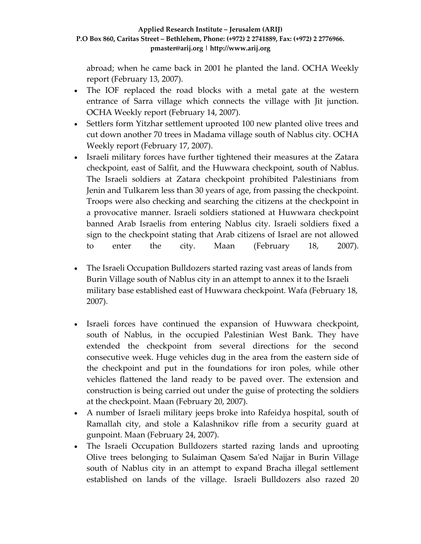abroad; when he came back in 2001 he planted the land. OCHA Weekly report (February 13, 2007).

- The IOF replaced the road blocks with a metal gate at the western entrance of Sarra village which connects the village with Jit junction. OCHA Weekly report (February 14, 2007).
- Settlers form Yitzhar settlement uprooted 100 new planted olive trees and cut down another 70 trees in Madama village south of Nablus city. OCHA Weekly report (February 17, 2007).
- Israeli military forces have further tightened their measures at the Zatara checkpoint, east of Salfit, and the Huwwara checkpoint, south of Nablus. The Israeli soldiers at Zatara checkpoint prohibited Palestinians from Jenin and Tulkarem less than 30 years of age, from passing the checkpoint. Troops were also checking and searching the citizens at the checkpoint in a provocative manner. Israeli soldiers stationed at Huwwara checkpoint banned Arab Israelis from entering Nablus city. Israeli soldiers fixed a sign to the checkpoint stating that Arab citizens of Israel are not allowed to enter the city. Maan (February 18, 2007).
- The Israeli Occupation Bulldozers started razing vast areas of lands from Burin Village south of Nablus city in an attempt to annex it to the Israeli military base established east of Huwwara checkpoint. Wafa (February 18, 2007).
- Israeli forces have continued the expansion of Huwwara checkpoint, south of Nablus, in the occupied Palestinian West Bank. They have extended the checkpoint from several directions for the second consecutive week. Huge vehicles dug in the area from the eastern side of the checkpoint and put in the foundations for iron poles, while other vehicles flattened the land ready to be paved over. The extension and construction is being carried out under the guise of protecting the soldiers at the checkpoint. Maan (February 20, 2007).
- A number of Israeli military jeeps broke into Rafeidya hospital, south of Ramallah city, and stole a Kalashnikov rifle from a security guard at gunpoint. Maan (February 24, 2007).
- The Israeli Occupation Bulldozers started razing lands and uprooting Olive trees belonging to Sulaiman Qasem Saʹed Najjar in Burin Village south of Nablus city in an attempt to expand Bracha illegal settlement established on lands of the village. Israeli Bulldozers also razed 20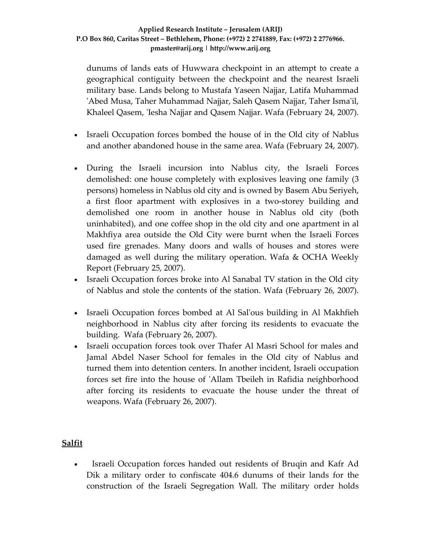dunums of lands eats of Huwwara checkpoint in an attempt to create a geographical contiguity between the checkpoint and the nearest Israeli military base. Lands belong to Mustafa Yaseen Najjar, Latifa Muhammad ʹAbed Musa, Taher Muhammad Najjar, Saleh Qasem Najjar, Taher Ismaʹil, Khaleel Qasem, 'Iesha Najjar and Qasem Najjar. Wafa (February 24, 2007).

- Israeli Occupation forces bombed the house of in the Old city of Nablus and another abandoned house in the same area. Wafa (February 24, 2007).
- During the Israeli incursion into Nablus city, the Israeli Forces demolished: one house completely with explosives leaving one family (3 persons) homeless in Nablus old city and is owned by Basem Abu Seriyeh, a first floor apartment with explosives in a two‐storey building and demolished one room in another house in Nablus old city (both uninhabited), and one coffee shop in the old city and one apartment in al Makhfiya area outside the Old City were burnt when the Israeli Forces used fire grenades. Many doors and walls of houses and stores were damaged as well during the military operation. Wafa & OCHA Weekly Report (February 25, 2007).
- Israeli Occupation forces broke into Al Sanabal TV station in the Old city of Nablus and stole the contents of the station. Wafa (February 26, 2007).
- Israeli Occupation forces bombed at Al Sal'ous building in Al Makhfieh neighborhood in Nablus city after forcing its residents to evacuate the building. Wafa (February 26, 2007).
- Israeli occupation forces took over Thafer Al Masri School for males and Jamal Abdel Naser School for females in the Old city of Nablus and turned them into detention centers. In another incident, Israeli occupation forces set fire into the house of ʹAllam Tbeileh in Rafidia neighborhood after forcing its residents to evacuate the house under the threat of weapons. Wafa (February 26, 2007).

# **Salfit**

• Israeli Occupation forces handed out residents of Bruqin and Kafr Ad Dik a military order to confiscate 404.6 dunums of their lands for the construction of the Israeli Segregation Wall. The military order holds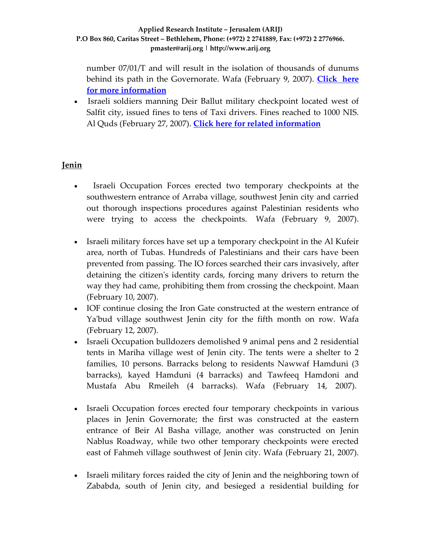number 07/01/T and will result in the isolation of thousands of dunums behind its path in the Governorate. Wafa (February 9, 2007). **[Click](http://www.poica.org/editor/case_studies/view.php?recordID=1020) here for more [information](http://www.poica.org/editor/case_studies/view.php?recordID=1020)**

• Israeli soldiers manning Deir Ballut military checkpoint located west of Salfit city, issued fines to tens of Taxi drivers. Fines reached to 1000 NIS. Al Quds (February 27, 2007). **Click here for related [information](http://www.poica.org/editor/case_studies/view.php?recordID=979)**

# **Jenin**

- Israeli Occupation Forces erected two temporary checkpoints at the southwestern entrance of Arraba village, southwest Jenin city and carried out thorough inspections procedures against Palestinian residents who were trying to access the checkpoints. Wafa (February 9, 2007).
- Israeli military forces have set up a temporary checkpoint in the Al Kufeir area, north of Tubas. Hundreds of Palestinians and their cars have been prevented from passing. The IO forces searched their cars invasively, after detaining the citizenʹs identity cards, forcing many drivers to return the way they had came, prohibiting them from crossing the checkpoint. Maan (February 10, 2007).
- IOF continue closing the Iron Gate constructed at the western entrance of Ya'bud village southwest Jenin city for the fifth month on row. Wafa (February 12, 2007).
- Israeli Occupation bulldozers demolished 9 animal pens and 2 residential tents in Mariha village west of Jenin city. The tents were a shelter to 2 families, 10 persons. Barracks belong to residents Nawwaf Hamduni (3 barracks), kayed Hamduni (4 barracks) and Tawfeeq Hamdoni and Mustafa Abu Rmeileh (4 barracks). Wafa (February 14, 2007).
- Israeli Occupation forces erected four temporary checkpoints in various places in Jenin Governorate; the first was constructed at the eastern entrance of Beir Al Basha village, another was constructed on Jenin Nablus Roadway, while two other temporary checkpoints were erected east of Fahmeh village southwest of Jenin city. Wafa (February 21, 2007).
- Israeli military forces raided the city of Jenin and the neighboring town of Zababda, south of Jenin city, and besieged a residential building for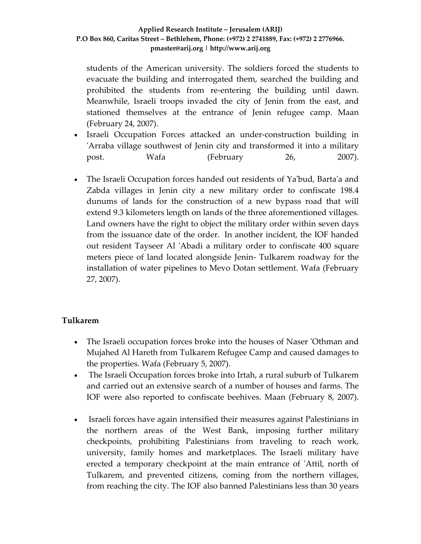students of the American university. The soldiers forced the students to evacuate the building and interrogated them, searched the building and prohibited the students from re‐entering the building until dawn. Meanwhile, Israeli troops invaded the city of Jenin from the east, and stationed themselves at the entrance of Jenin refugee camp. Maan (February 24, 2007).

- Israeli Occupation Forces attacked an under-construction building in ʹArraba village southwest of Jenin city and transformed it into a military post. Wafa (February 26, 2007).
- The Israeli Occupation forces handed out residents of Ya'bud, Barta'a and Zabda villages in Jenin city a new military order to confiscate 198.4 dunums of lands for the construction of a new bypass road that will extend 9.3 kilometers length on lands of the three aforementioned villages. Land owners have the right to object the military order within seven days from the issuance date of the order. In another incident, the IOF handed out resident Tayseer Al 'Abadi a military order to confiscate 400 square meters piece of land located alongside Jenin‐ Tulkarem roadway for the installation of water pipelines to Mevo Dotan settlement. Wafa (February 27, 2007).

# **Tulkarem**

- The Israeli occupation forces broke into the houses of Naser 'Othman and Mujahed Al Hareth from Tulkarem Refugee Camp and caused damages to the properties. Wafa (February 5, 2007).
- The Israeli Occupation forces broke into Irtah, a rural suburb of Tulkarem and carried out an extensive search of a number of houses and farms. The IOF were also reported to confiscate beehives. Maan (February 8, 2007).
- Israeli forces have again intensified their measures against Palestinians in the northern areas of the West Bank, imposing further military checkpoints, prohibiting Palestinians from traveling to reach work, university, family homes and marketplaces. The Israeli military have erected a temporary checkpoint at the main entrance of ʹAttil, north of Tulkarem, and prevented citizens, coming from the northern villages, from reaching the city. The IOF also banned Palestinians less than 30 years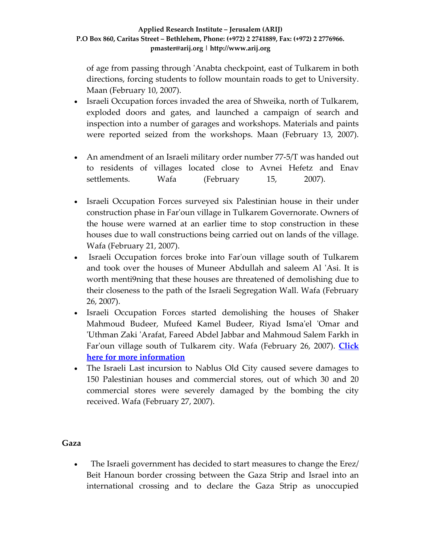of age from passing through ʹAnabta checkpoint, east of Tulkarem in both directions, forcing students to follow mountain roads to get to University. Maan (February 10, 2007).

- Israeli Occupation forces invaded the area of Shweika, north of Tulkarem, exploded doors and gates, and launched a campaign of search and inspection into a number of garages and workshops. Materials and paints were reported seized from the workshops. Maan (February 13, 2007).
- An amendment of an Israeli military order number 77-5/T was handed out to residents of villages located close to Avnei Hefetz and Enav settlements. Wafa (February 15, 2007).
- Israeli Occupation Forces surveyed six Palestinian house in their under construction phase in Farʹoun village in Tulkarem Governorate. Owners of the house were warned at an earlier time to stop construction in these houses due to wall constructions being carried out on lands of the village. Wafa (February 21, 2007).
- Israeli Occupation forces broke into Far'oun village south of Tulkarem and took over the houses of Muneer Abdullah and saleem Al ʹAsi. It is worth menti9ning that these houses are threatened of demolishing due to their closeness to the path of the Israeli Segregation Wall. Wafa (February 26, 2007).
- Israeli Occupation Forces started demolishing the houses of Shaker Mahmoud Budeer, Mufeed Kamel Budeer, Riyad Ismaʹel ʹOmar and ʹUthman Zaki ʹArafat, Fareed Abdel Jabbar and Mahmoud Salem Farkh in Farʹoun village south of Tulkarem city. Wafa (February 26, 2007). **[Click](http://www.poica.org/editor/case_studies/view.php?recordID=1024) here for more [information](http://www.poica.org/editor/case_studies/view.php?recordID=1024)**
- The Israeli Last incursion to Nablus Old City caused severe damages to 150 Palestinian houses and commercial stores, out of which 30 and 20 commercial stores were severely damaged by the bombing the city received. Wafa (February 27, 2007).

### **Gaza**

• The Israeli government has decided to start measures to change the Erez/ Beit Hanoun border crossing between the Gaza Strip and Israel into an international crossing and to declare the Gaza Strip as unoccupied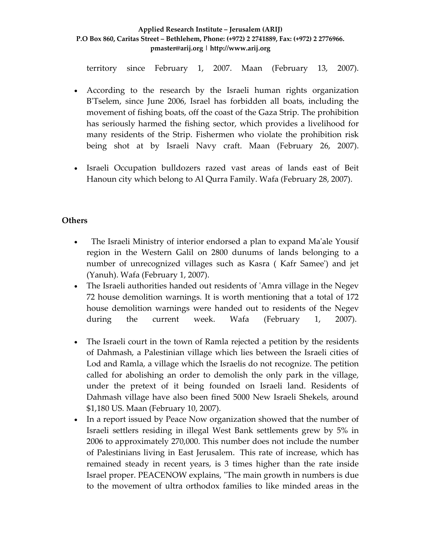territory since February 1, 2007. Maan (February 13, 2007).

- According to the research by the Israeli human rights organization B'Tselem, since June 2006, Israel has forbidden all boats, including the movement of fishing boats, off the coast of the Gaza Strip. The prohibition has seriously harmed the fishing sector, which provides a livelihood for many residents of the Strip. Fishermen who violate the prohibition risk being shot at by Israeli Navy craft. Maan (February 26, 2007).
- Israeli Occupation bulldozers razed vast areas of lands east of Beit Hanoun city which belong to Al Qurra Family. Wafa (February 28, 2007).

### **Others**

- The Israeli Ministry of interior endorsed a plan to expand Ma'ale Yousif region in the Western Galil on 2800 dunums of lands belonging to a number of unrecognized villages such as Kasra ( Kafr Sameeʹ) and jet (Yanuh). Wafa (February 1, 2007).
- The Israeli authorities handed out residents of 'Amra village in the Negev 72 house demolition warnings. It is worth mentioning that a total of 172 house demolition warnings were handed out to residents of the Negev during the current week. Wafa (February 1, 2007).
- The Israeli court in the town of Ramla rejected a petition by the residents of Dahmash, a Palestinian village which lies between the Israeli cities of Lod and Ramla, a village which the Israelis do not recognize. The petition called for abolishing an order to demolish the only park in the village, under the pretext of it being founded on Israeli land. Residents of Dahmash village have also been fined 5000 New Israeli Shekels, around \$1,180 US. Maan (February 10, 2007).
- In a report issued by Peace Now organization showed that the number of Israeli settlers residing in illegal West Bank settlements grew by 5% in 2006 to approximately 270,000. This number does not include the number of Palestinians living in East Jerusalem. This rate of increase, which has remained steady in recent years, is 3 times higher than the rate inside Israel proper. PEACENOW explains, "The main growth in numbers is due to the movement of ultra orthodox families to like minded areas in the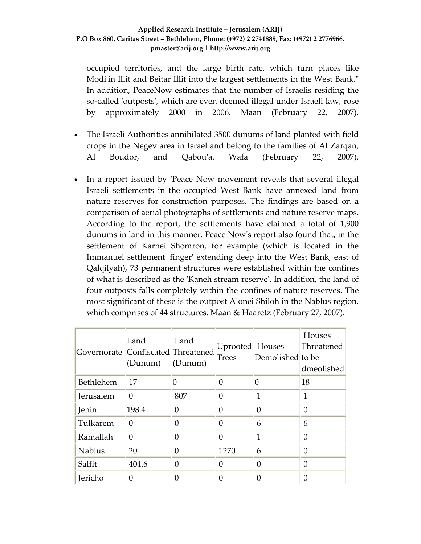occupied territories, and the large birth rate, which turn places like Modi'in Illit and Beitar Illit into the largest settlements in the West Bank." In addition, PeaceNow estimates that the number of Israelis residing the so-called 'outposts', which are even deemed illegal under Israeli law, rose by approximately 2000 in 2006. Maan (February 22, 2007).

- The Israeli Authorities annihilated 3500 dunums of land planted with field crops in the Negev area in Israel and belong to the families of Al Zarqan, Al Boudor, and Qabouʹa. Wafa (February 22, 2007).
- In a report issued by 'Peace Now movement reveals that several illegal Israeli settlements in the occupied West Bank have annexed land from nature reserves for construction purposes. The findings are based on a comparison of aerial photographs of settlements and nature reserve maps. According to the report, the settlements have claimed a total of 1,900 dunums in land in this manner. Peace Nowʹs report also found that, in the settlement of Karnei Shomron, for example (which is located in the Immanuel settlement 'finger' extending deep into the West Bank, east of Qalqilyah), 73 permanent structures were established within the confines of what is described as the ʹKaneh stream reserveʹ. In addition, the land of four outposts falls completely within the confines of nature reserves. The most significant of these is the outpost Alonei Shiloh in the Nablus region, which comprises of 44 structures. Maan & Haaretz (February 27, 2007).

| Governorate Confiscated Threatened | Land<br>(Dunum) | Land<br>(Dunum) | Uprooted Houses<br><b>Trees</b> | Demolished to be | Houses<br>Threatened<br>dmeolished |
|------------------------------------|-----------------|-----------------|---------------------------------|------------------|------------------------------------|
| Bethlehem                          | 17              | O               | 0                               | 0                | 18                                 |
| Jerusalem                          | 0               | 807             | 0                               | 1                | 1                                  |
| Jenin                              | 198.4           | 0               | 0                               | 0                | 0                                  |
| Tulkarem                           | 0               | 0               | 0                               | 6                | 6                                  |
| Ramallah                           | 0               | O               | 0                               | 1                | 0                                  |
| <b>Nablus</b>                      | 20              | 0               | 1270                            | 6                | 0                                  |
| Salfit                             | 404.6           | 0               | 0                               | $\Omega$         | 0                                  |
| Jericho                            | 0               | 0               |                                 | 0                | 0                                  |